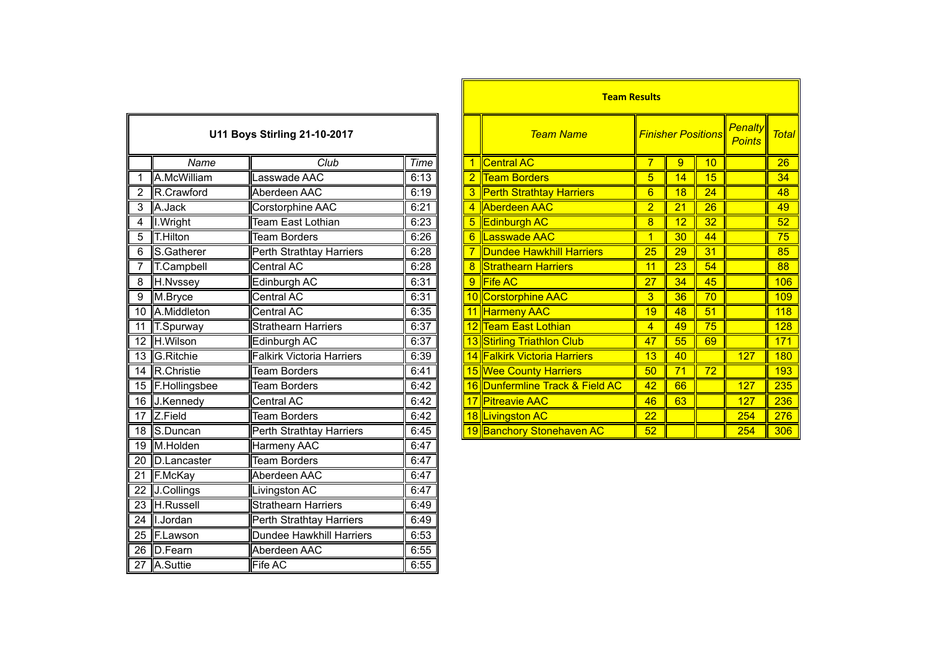| <b>U11 Boys Stirling 21-10-2017</b> |                   |                                  |             |  |  |  |
|-------------------------------------|-------------------|----------------------------------|-------------|--|--|--|
|                                     | Name              | Club                             | <b>Time</b> |  |  |  |
| 1                                   | A.McWilliam       | Lasswade AAC                     | 6:13        |  |  |  |
| $\overline{2}$                      | R.Crawford        | Aberdeen AAC                     | 6:19        |  |  |  |
| $\overline{3}$                      | A.Jack            | Corstorphine AAC                 | 6:21        |  |  |  |
| $\overline{4}$                      | I. Wright         | Team East Lothian                | 6:23        |  |  |  |
| 5                                   | T.Hilton          | <b>Team Borders</b>              | 6:26        |  |  |  |
| 6                                   | S.Gatherer        | Perth Strathtay Harriers         | 6:28        |  |  |  |
| 7                                   | T.Campbell        | Central AC                       | 6:28        |  |  |  |
| 8                                   | H.Nvssey          | Edinburgh AC                     | 6:31        |  |  |  |
| 9                                   | M.Bryce           | Central AC                       | 6:31        |  |  |  |
| $\overline{10}$                     | A.Middleton       | <b>Central AC</b>                | 6:35        |  |  |  |
| 11                                  | T.Spurway         | Strathearn Harriers              | 6:37        |  |  |  |
| $\overline{12}$                     | H.Wilson          | Edinburgh AC                     | 6:37        |  |  |  |
| 13                                  | G.Ritchie         | <b>Falkirk Victoria Harriers</b> | 6:39        |  |  |  |
| $\overline{14}$                     | <b>R.Christie</b> | <b>Team Borders</b>              | 6:41        |  |  |  |
| $\overline{15}$                     | F.Hollingsbee     | <b>Team Borders</b>              | 6:42        |  |  |  |
| $\overline{16}$                     | J.Kennedy         | Central AC                       | 6:42        |  |  |  |
| $\overline{17}$                     | Z.Field           | <b>Team Borders</b>              | 6:42        |  |  |  |
| 18                                  | S.Duncan          | Perth Strathtay Harriers         | 6:45        |  |  |  |
| 19                                  | M.Holden          | <b>Harmeny AAC</b>               | 6:47        |  |  |  |
| 20                                  | D.Lancaster       | <b>Team Borders</b>              | 6:47        |  |  |  |
| $\overline{21}$                     | F.McKay           | Aberdeen AAC                     | 6:47        |  |  |  |
| 22                                  | J.Collings        | Livingston AC                    | 6:47        |  |  |  |
| $\overline{23}$                     | H.Russell         | <b>Strathearn Harriers</b>       | 6:49        |  |  |  |
| 24                                  | I.Jordan          | Perth Strathtay Harriers         | 6:49        |  |  |  |
| $\overline{25}$                     | F.Lawson          | <b>Dundee Hawkhill Harriers</b>  | 6:53        |  |  |  |
| $\overline{26}$                     | D.Fearn           | Aberdeen AAC                     | 6:55        |  |  |  |
| $\overline{27}$                     | A.Suttie          | Fife AC                          | 6:55        |  |  |  |

|                 |                  |                                     |      |  |   | <b>Team Results</b>             |                           |                 |                                 |              |            |
|-----------------|------------------|-------------------------------------|------|--|---|---------------------------------|---------------------------|-----------------|---------------------------------|--------------|------------|
|                 |                  | <b>U11 Boys Stirling 21-10-2017</b> |      |  |   | <b>Team Name</b>                | <b>Finisher Positions</b> |                 | <b>Penalty</b><br><b>Points</b> | <b>Total</b> |            |
|                 | Name             | Club                                | Time |  |   | Central AC                      |                           | 9               | 10                              |              | 26         |
|                 | A.McWilliam      | Lasswade AAC                        | 6:13 |  |   | <b>Team Borders</b>             | 5                         | 14              | 15                              |              | 34         |
|                 | R.Crawford       | Aberdeen AAC                        | 6:19 |  |   | <b>Perth Strathtay Harriers</b> | 6                         | 18              | 24                              |              | 48         |
| 3               | A.Jack           | Corstorphine AAC                    | 6:21 |  |   | Aberdeen AAC                    | $\overline{2}$            | 21              | 26                              |              | 49         |
| $\overline{4}$  | I. Wright        | Team East Lothian                   | 6:23 |  |   | 5 Edinburgh AC                  | 8                         | 12              | 32                              |              | 52         |
| $\overline{5}$  | T.Hilton         | <b>Team Borders</b>                 | 6:26 |  |   | <b>Lasswade AAC</b>             |                           | 30              | 44                              |              | 75         |
| 6               | S.Gatherer       | Perth Strathtay Harriers            | 6:28 |  |   | <b>Dundee Hawkhill Harriers</b> | 25                        | 29              | 31                              |              | 85         |
|                 | T.Campbell       | Central AC                          | 6:28 |  |   | <b>Strathearn Harriers</b>      | 11                        | $\overline{23}$ | 54                              |              | 88         |
| $\overline{8}$  | H.Nvssey         | Edinburgh AC                        | 6:31 |  | 9 | <b>Fife AC</b>                  | 27                        | 34              | 45                              |              | 106        |
| $\overline{9}$  | M.Bryce          | Central AC                          | 6:31 |  |   | 10 Corstorphine AAC             | 3                         | 36              | 70                              |              | 109        |
| 10 <sup>°</sup> | A.Middleton      | Central AC                          | 6:35 |  |   | 11 Harmeny AAC                  | 19                        | 48              | 51                              |              | 118        |
|                 | 11 T.Spurway     | <b>Strathearn Harriers</b>          | 6:37 |  |   | 12 Team East Lothian            | 4                         | 49              | 75                              |              | 128        |
|                 | 12 H.Wilson      | Edinburgh AC                        | 6:37 |  |   | 13 Stirling Triathlon Club      | 47                        | 55              | 69                              |              | 171        |
|                 | 13 G.Ritchie     | <b>Falkirk Victoria Harriers</b>    | 6:39 |  |   | 14 Falkirk Victoria Harriers    | 13                        | 40              |                                 | 127          | <b>180</b> |
|                 | 14 R.Christie    | <b>Team Borders</b>                 | 6:41 |  |   | 15 Wee County Harriers          | 50                        | 71              | 72                              |              | 193        |
|                 | 15 F.Hollingsbee | <b>Team Borders</b>                 | 6:42 |  |   | 16 Dunfermline Track & Field AC | 42                        | 66              |                                 | 127          | 235        |
|                 | 16 J.Kennedy     | Central AC                          | 6:42 |  |   | 17 Pitreavie AAC                | 46                        | 63              |                                 | 127          | 236        |
|                 | $17$ Z.Field     | <b>Team Borders</b>                 | 6:42 |  |   | 18 Livingston AC                | 22                        |                 |                                 | 254          | 276        |
|                 | 18 S.Duncan      | Perth Strathtay Harriers            | 6:45 |  |   | 19 Banchory Stonehaven AC       | 52                        |                 |                                 | 254          | 306        |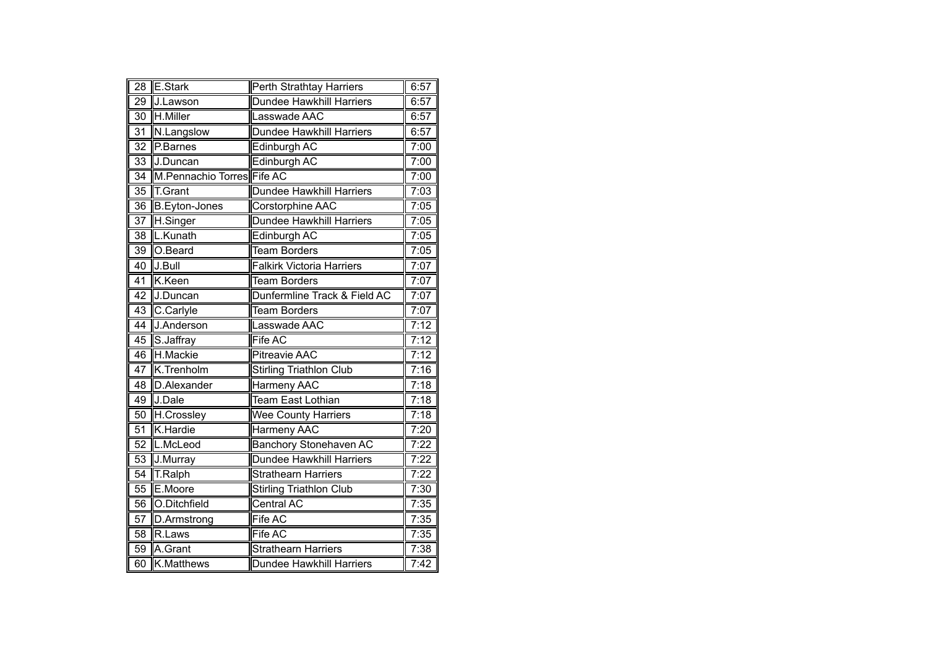| $\overline{28}$ | E.Stark                    | Perth Strathtay Harriers         | 6:57 |
|-----------------|----------------------------|----------------------------------|------|
| 29              | J.Lawson                   | Dundee Hawkhill Harriers         | 6:57 |
| 30              | H.Miller                   | Lasswade AAC                     | 6:57 |
| 31              | N.Langslow                 | <b>Dundee Hawkhill Harriers</b>  | 6:57 |
| $\overline{32}$ | P.Barnes                   | Edinburgh AC                     | 7:00 |
| 33              | J.Duncan                   | Edinburgh AC                     | 7:00 |
| 34              | M.Pennachio Torres Fife AC |                                  | 7:00 |
| $\overline{35}$ | T.Grant                    | <b>Dundee Hawkhill Harriers</b>  | 7:03 |
| $\overline{36}$ | <b>B.Eyton-Jones</b>       | Corstorphine AAC                 | 7:05 |
| $\overline{37}$ | H.Singer                   | <b>Dundee Hawkhill Harriers</b>  | 7:05 |
| $\overline{38}$ | L.Kunath                   | <b>Edinburgh AC</b>              | 7:05 |
| 39              | O.Beard                    | <b>Team Borders</b>              | 7:05 |
| 40              | J.Bull                     | <b>Falkirk Victoria Harriers</b> | 7:07 |
| 41              | K.Keen                     | <b>Team Borders</b>              | 7:07 |
| 42              | J.Duncan                   | Dunfermline Track & Field AC     | 7:07 |
| 43              | C.Carlyle                  | Team Borders                     | 7:07 |
| 44              | J.Anderson                 | Lasswade AAC                     | 7:12 |
| 45              | S.Jaffray                  | Fife AC                          | 7:12 |
| 46              | H.Mackie                   | <b>Pitreavie AAC</b>             | 7:12 |
| $\overline{47}$ | K.Trenholm                 | <b>Stirling Triathlon Club</b>   | 7:16 |
| $\overline{48}$ | D.Alexander                | <b>Harmeny AAC</b>               | 7:18 |
| 49              | J.Dale                     | Team East Lothian                | 7:18 |
| 50              | H.Crossley                 | <b>Wee County Harriers</b>       | 7:18 |
| $\overline{51}$ | K.Hardie                   | Harmeny AAC                      | 7:20 |
| 52              | L.McLeod                   | <b>Banchory Stonehaven AC</b>    | 7:22 |
| 53              | J.Murray                   | <b>Dundee Hawkhill Harriers</b>  | 7:22 |
| 54              | T.Ralph                    | <b>Strathearn Harriers</b>       | 7:22 |
| $\overline{55}$ | E.Moore                    | <b>Stirling Triathlon Club</b>   | 7:30 |
| 56              | O.Ditchfield               | Central AC                       | 7:35 |
| 57              | D.Armstrong                | Fife AC                          | 7:35 |
| 58              | R.Laws                     | Fife AC                          | 7:35 |
| 59              | A.Grant                    | <b>Strathearn Harriers</b>       | 7:38 |
| 60              | <b>K.Matthews</b>          | Dundee Hawkhill Harriers         | 7:42 |